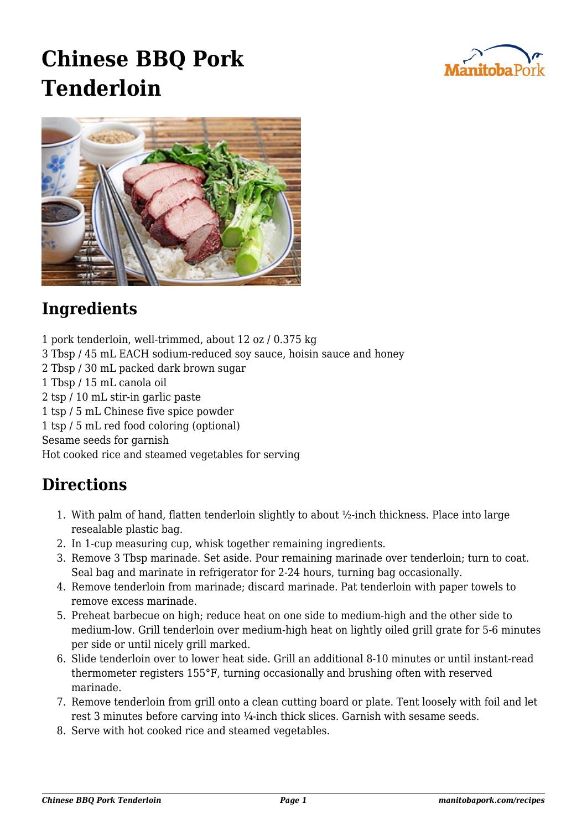## **Chinese BBQ Pork Tenderloin**





## **Ingredients**

1 pork tenderloin, well-trimmed, about 12 oz / 0.375 kg

- 3 Tbsp / 45 mL EACH sodium-reduced soy sauce, hoisin sauce and honey
- 2 Tbsp / 30 mL packed dark brown sugar
- 1 Tbsp / 15 mL canola oil
- 2 tsp / 10 mL stir-in garlic paste
- 1 tsp / 5 mL Chinese five spice powder
- 1 tsp / 5 mL red food coloring (optional)
- Sesame seeds for garnish

Hot cooked rice and steamed vegetables for serving

## **Directions**

- 1. With palm of hand, flatten tenderloin slightly to about ½-inch thickness. Place into large resealable plastic bag.
- 2. In 1-cup measuring cup, whisk together remaining ingredients.
- 3. Remove 3 Tbsp marinade. Set aside. Pour remaining marinade over tenderloin; turn to coat. Seal bag and marinate in refrigerator for 2-24 hours, turning bag occasionally.
- 4. Remove tenderloin from marinade; discard marinade. Pat tenderloin with paper towels to remove excess marinade.
- 5. Preheat barbecue on high; reduce heat on one side to medium-high and the other side to medium-low. Grill tenderloin over medium-high heat on lightly oiled grill grate for 5-6 minutes per side or until nicely grill marked.
- 6. Slide tenderloin over to lower heat side. Grill an additional 8-10 minutes or until instant-read thermometer registers 155°F, turning occasionally and brushing often with reserved marinade.
- 7. Remove tenderloin from grill onto a clean cutting board or plate. Tent loosely with foil and let rest 3 minutes before carving into ¼-inch thick slices. Garnish with sesame seeds.
- 8. Serve with hot cooked rice and steamed vegetables.